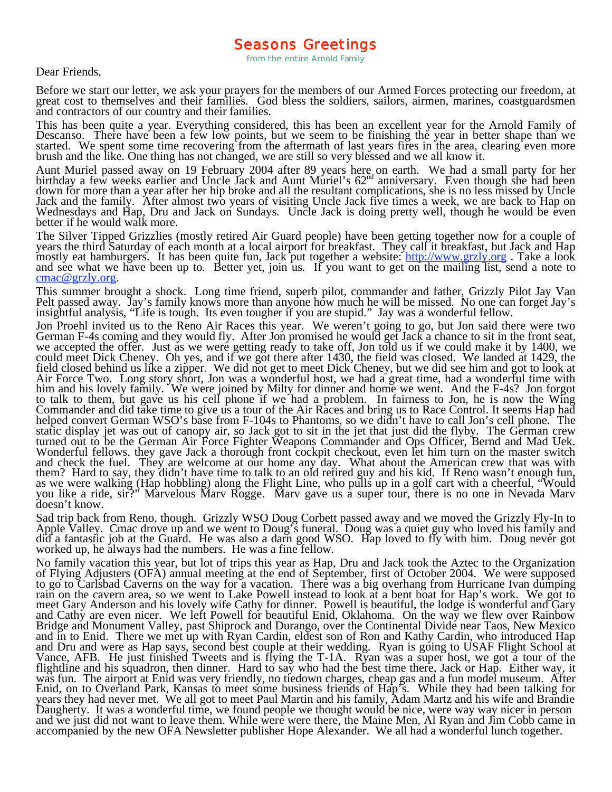Dear Friends,

Before we start our letter, we ask your prayers for the members of our Armed Forces protecting our freedom, at<br>great cost to themselves and their families. God bless the soldiers, sailors, airmen, marines, coastguardsmen<br>a

This has been quite a year. Everything considered, this has been an excellent year for the Arnold Family of Descanso. There have been a few low points, but we seem to be finishing the year in better shape than we started. We spent some time recovering from the aftermath of last years fires in the area, clearing even more brush and the like. One thing has not changed, we are still so very blessed and we all know it.

Aunt Muriel passed away on 19 February 2004 after 89 years here on earth. We had a small party for her birthday a few weeks earlier and Uncle Jack and Aunt Muriel's  $62^{nd}$  anniversary. Even though she had been down for m Wednesdays and Hap, Dru and Jack on Sundays. Uncle Jack is doing pretty well, though he would be even better if he would walk more.

The Silver Tipped Grizzlies (mostly retired Air Guard people) have been getting together now for a couple of<br>years the third Saturday of each month at a local airport for breakfast. They call it breakfast, but Jack and Hap mostly eat hamburgers. It has been quite fun, Jack put together a website: http://www.grzly.org. Take a look and see what we have been up to. Better yet, join us. If you want to get on the mailing list, send a note to  $cmac@grzly.org$ .

This summer brought a shock. Long time friend, superb pilot, commander and father, Grizzly Pilot Jay Van Pelt passed away. Jay's family knows more than anyone how much he will be missed. No one can forget Jay's insightful

Jon Proehl invited us to the Reno Air Races this year. We weren't going to go, but Jon said there were two German F-4s coming and they would fly. After Jon promised he would get Jack a chance to sit in the front seat, we accepted the offer. Just as we were getting ready to take off, Jon told us if we could make it by 1400, we could meet Dick Cheney. Oh yes, and if we got there after 1430, the field was closed. We landed at 1429, the field closed behind us like a zipper. We did not get to meet Dick Cheney, but we did see him and got to look at<br>Air Force Two. Long story short, Jon was a wonderful host, we had a great time, had a wonderful time with him and his lovely family. We were joined by Milty for dinner and home we went. And the F-4s? Jon forgot to talk to them, but gave us his cell phone if we had a problem. In fairness to Jon, he is now the Wing<br>Commander and did take time to give us a tour of the Air Races and bring us to Race Control. It seems Hap had<br>helped c Repear convert definant wises is based from a 170-48 to a frameoms, so we didn't have to earl son is cen phone. The<br>static display jet was out of canopy air, so Jack got to sit in the jet that just did the flyby. The Germa and check the fuel. They are welcome at our home any day. What about the American crew that was with them? Hard to say, they didn't have time to talk to an old retired guy and his kid. If Reno wasn't enough fun, as we were walking (Hap hobbling) along the Flight Line, who pulls up in a golf cart with a cheerful, "Would you like a ride, sir?" Marvelous Marv Rogge. Marv gave us a super tour, there is no one in Nevada Marv doesn't know.

Sad trip back from Reno, though. Grizzly WSO Doug Corbett passed away and we moved the Grizzly Fly-In to Apple Valley. Cmac drove up and we went to Doug's funeral. Doug was a quiet guy who loved his family and did a fantas

No family vacation this year, but lot of trips this year as Hap, Dru and Jack took the Aztec to the Organization<br>of Flying Adjusters (OFA) annual meeting at the end of September, first of October 2004. We were supposed<br>to meet Gary Anderson and his lovely wife Cathy for dinner. Powell is beautiful, the lodge is wonderful and Gary<br>and Cathy are even nicer. We left Powell for beautiful Enid, Oklahoma. On the way we flew over Rainbow<br>Bridge an Daugherty. It was a wonderful time, we found people we thought would be nice, were way way nicer in person and we just did not want to leave them. While were were there, the Maine Men, Al Ryan and Jim Cobb came in accompanied by the new OFA Newsletter publisher Hope Alexander. We all had a wonderful lunch together.